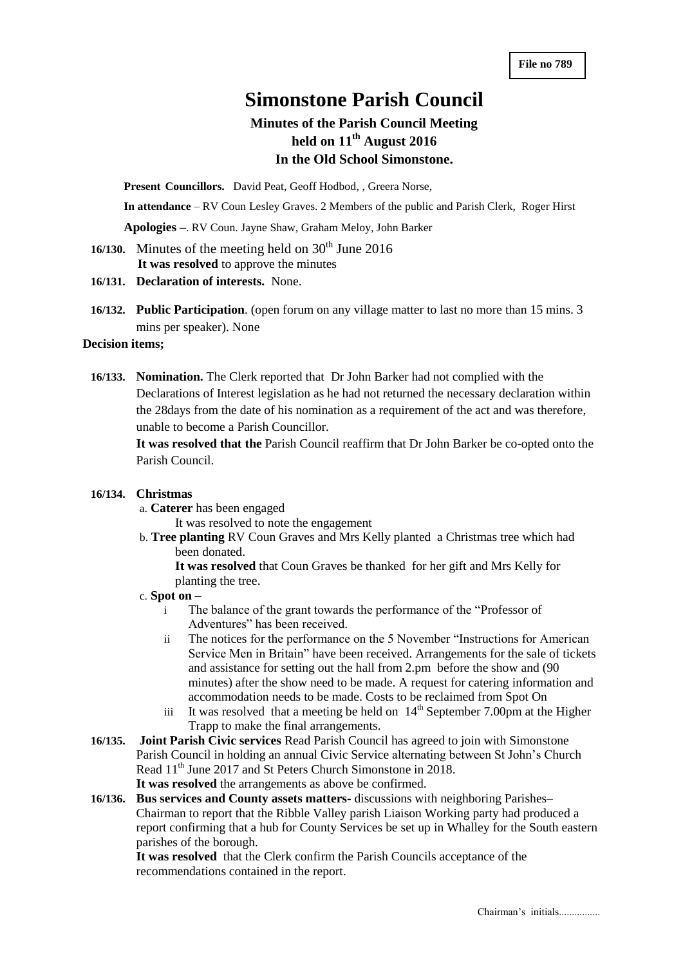# **Simonstone Parish Council**

## **Minutes of the Parish Council Meeting held on 11th August 2016 In the Old School Simonstone.**

**Present Councillors.** David Peat, Geoff Hodbod, , Greera Norse,

**In attendance** – RV Coun Lesley Graves. 2 Members of the public and Parish Clerk, Roger Hirst

**Apologies –**. RV Coun. Jayne Shaw, Graham Meloy, John Barker

- **16/130.** Minutes of the meeting held on  $30<sup>th</sup>$  June 2016  **It was resolved** to approve the minutes
- **16/131. Declaration of interests.** None.
- **16/132. Public Participation**. (open forum on any village matter to last no more than 15 mins. 3 mins per speaker). None

### **Decision items;**

**16/133. Nomination.** The Clerk reported that Dr John Barker had not complied with the Declarations of Interest legislation as he had not returned the necessary declaration within the 28days from the date of his nomination as a requirement of the act and was therefore, unable to become a Parish Councillor.

**It was resolved that the** Parish Council reaffirm that Dr John Barker be co-opted onto the Parish Council.

#### **16/134. Christmas**

- a. **Caterer** has been engaged
	- It was resolved to note the engagement
- b. **Tree planting** RV Coun Graves and Mrs Kelly planted a Christmas tree which had been donated.

**It was resolved** that Coun Graves be thanked for her gift and Mrs Kelly for planting the tree.

#### c. **Spot on –**

- i The balance of the grant towards the performance of the "Professor of Adventures" has been received.
- ii The notices for the performance on the 5 November "Instructions for American Service Men in Britain" have been received. Arrangements for the sale of tickets and assistance for setting out the hall from 2.pm before the show and (90 minutes) after the show need to be made. A request for catering information and accommodation needs to be made. Costs to be reclaimed from Spot On
- iii It was resolved that a meeting be held on  $14<sup>th</sup>$  September 7.00pm at the Higher Trapp to make the final arrangements.
- **16/135. Joint Parish Civic services** Read Parish Council has agreed to join with Simonstone Parish Council in holding an annual Civic Service alternating between St John's Church Read  $11<sup>th</sup>$  June 2017 and St Peters Church Simonstone in 2018. **It was resolved** the arrangements as above be confirmed.

**16/136. Bus services and County assets matters-** discussions with neighboring Parishes– Chairman to report that the Ribble Valley parish Liaison Working party had produced a report confirming that a hub for County Services be set up in Whalley for the South eastern parishes of the borough.

**It was resolved** that the Clerk confirm the Parish Councils acceptance of the recommendations contained in the report.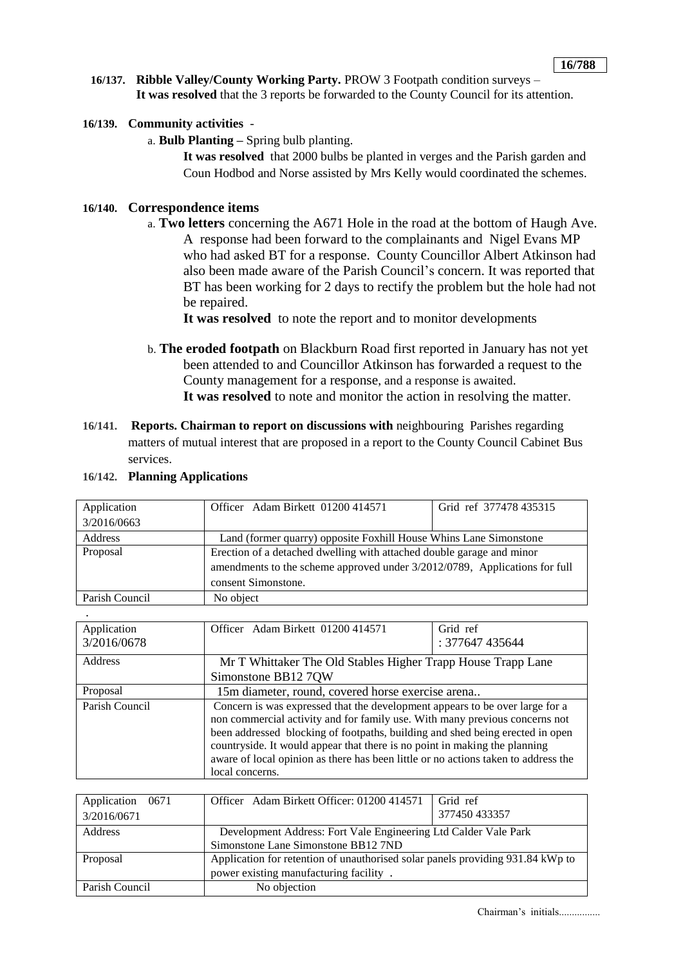- **16/137. Ribble Valley/County Working Party.** PROW 3 Footpath condition surveys **It was resolved** that the 3 reports be forwarded to the County Council for its attention.
- **16/139. Community activities**
	- a. **Bulb Planting –** Spring bulb planting.

**It was resolved** that 2000 bulbs be planted in verges and the Parish garden and Coun Hodbod and Norse assisted by Mrs Kelly would coordinated the schemes.

#### **16/140. Correspondence items**

a. **Two letters** concerning the A671 Hole in the road at the bottom of Haugh Ave. A response had been forward to the complainants and Nigel Evans MP who had asked BT for a response. County Councillor Albert Atkinson had also been made aware of the Parish Council's concern. It was reported that BT has been working for 2 days to rectify the problem but the hole had not be repaired.

**It was resolved** to note the report and to monitor developments

- b. **The eroded footpath** on Blackburn Road first reported in January has not yet been attended to and Councillor Atkinson has forwarded a request to the County management for a response, and a response is awaited. **It was resolved** to note and monitor the action in resolving the matter.
- **16/141. Reports. Chairman to report on discussions with** neighbouring Parishes regarding matters of mutual interest that are proposed in a report to the County Council Cabinet Bus services.

|  |  | 16/142. Planning Applications |
|--|--|-------------------------------|
|--|--|-------------------------------|

| Application    | Officer Adam Birkett 01200 414571                                          | Grid ref 377478 435315 |
|----------------|----------------------------------------------------------------------------|------------------------|
| 3/2016/0663    |                                                                            |                        |
| Address        | Land (former quarry) opposite Foxhill House Whins Lane Simonstone          |                        |
| Proposal       | Erection of a detached dwelling with attached double garage and minor      |                        |
|                | amendments to the scheme approved under 3/2012/0789, Applications for full |                        |
|                | consent Simonstone.                                                        |                        |
| Parish Council | No object                                                                  |                        |

| Application    | Officer Adam Birkett 01200 414571                                                  | Grid ref        |  |
|----------------|------------------------------------------------------------------------------------|-----------------|--|
| 3/2016/0678    |                                                                                    | : 377647 435644 |  |
| Address        | Mr T Whittaker The Old Stables Higher Trapp House Trapp Lane                       |                 |  |
|                | Simonstone BB12 7QW                                                                |                 |  |
| Proposal       | 15m diameter, round, covered horse exercise arena                                  |                 |  |
| Parish Council | Concern is was expressed that the development appears to be over large for a       |                 |  |
|                | non commercial activity and for family use. With many previous concerns not        |                 |  |
|                | been addressed blocking of footpaths, building and shed being erected in open      |                 |  |
|                | countryside. It would appear that there is no point in making the planning         |                 |  |
|                | aware of local opinion as there has been little or no actions taken to address the |                 |  |
|                | local concerns.                                                                    |                 |  |

| Application 0671 | Officer Adam Birkett Officer: 01200 414571                                     | Grid ref      |
|------------------|--------------------------------------------------------------------------------|---------------|
| 3/2016/0671      |                                                                                | 377450 433357 |
| <b>Address</b>   | Development Address: Fort Vale Engineering Ltd Calder Vale Park                |               |
|                  | Simonstone Lane Simonstone BB12 7ND                                            |               |
| Proposal         | Application for retention of unauthorised solar panels providing 931.84 kWp to |               |
|                  | power existing manufacturing facility.                                         |               |
| Parish Council   | No objection                                                                   |               |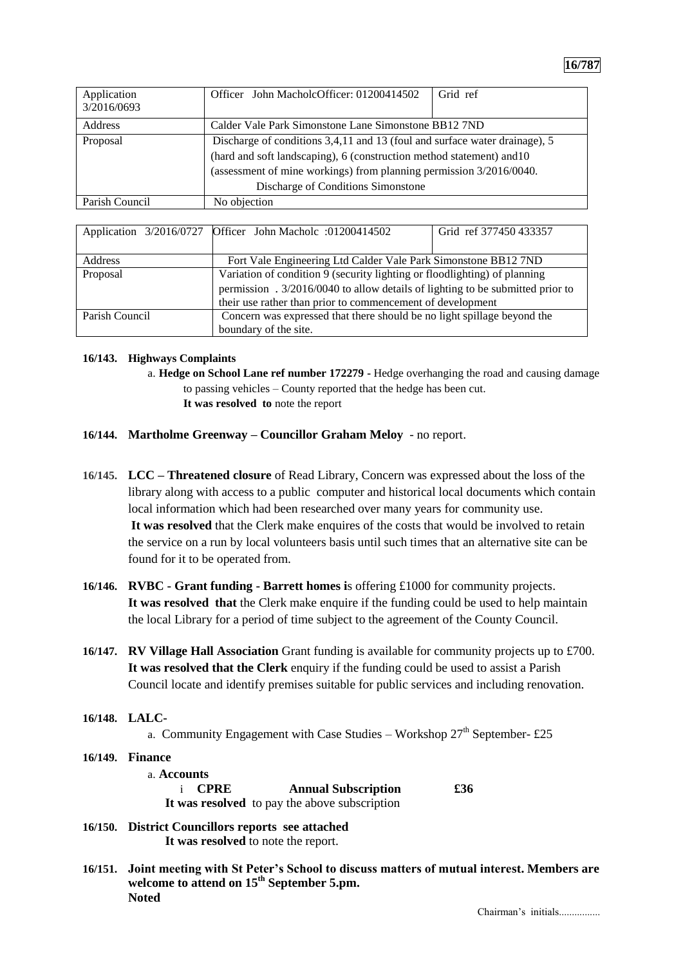| Application<br>3/2016/0693 | Officer John MacholcOfficer: 01200414502                                                                                                                                                                                                                         | Grid ref |
|----------------------------|------------------------------------------------------------------------------------------------------------------------------------------------------------------------------------------------------------------------------------------------------------------|----------|
| Address                    | Calder Vale Park Simonstone Lane Simonstone BB12 7ND                                                                                                                                                                                                             |          |
| Proposal                   | Discharge of conditions 3,4,11 and 13 (foul and surface water drainage), 5<br>(hard and soft landscaping), 6 (construction method statement) and 10<br>(assessment of mine workings) from planning permission 3/2016/0040.<br>Discharge of Conditions Simonstone |          |
| Parish Council             | No objection                                                                                                                                                                                                                                                     |          |

|                | Application 3/2016/0727 Officer John Macholc :01200414502                      | Grid ref 377450 433357 |
|----------------|--------------------------------------------------------------------------------|------------------------|
|                |                                                                                |                        |
| Address        | Fort Vale Engineering Ltd Calder Vale Park Simonstone BB12 7ND                 |                        |
| Proposal       | Variation of condition 9 (security lighting or floodlighting) of planning      |                        |
|                | permission . 3/2016/0040 to allow details of lighting to be submitted prior to |                        |
|                | their use rather than prior to commencement of development                     |                        |
| Parish Council | Concern was expressed that there should be no light spillage beyond the        |                        |
|                | boundary of the site.                                                          |                        |

#### **16/143. Highways Complaints**

- a. **Hedge on School Lane ref number 172279 -** Hedge overhanging the road and causing damage to passing vehicles – County reported that the hedge has been cut. **It was resolved to** note the report
- **16/144. Martholme Greenway – Councillor Graham Meloy** no report.
- **16/145. LCC – Threatened closure** of Read Library, Concern was expressed about the loss of the library along with access to a public computer and historical local documents which contain local information which had been researched over many years for community use. **It was resolved** that the Clerk make enquires of the costs that would be involved to retain the service on a run by local volunteers basis until such times that an alternative site can be found for it to be operated from.
- **16/146. RVBC - Grant funding - Barrett homes i**s offering £1000 for community projects. **It was resolved that** the Clerk make enquire if the funding could be used to help maintain the local Library for a period of time subject to the agreement of the County Council.
- **16/147. RV Village Hall Association** Grant funding is available for community projects up to £700. **It was resolved that the Clerk** enquiry if the funding could be used to assist a Parish Council locate and identify premises suitable for public services and including renovation.
- **16/148. LALC-**

a. Community Engagement with Case Studies – Workshop  $27<sup>th</sup>$  September-£25

- **16/149. Finance**  a. **Accounts**  i **CPRE Annual Subscription £36 It was resolved** to pay the above subscription
- **16/150. District Councillors reports see attached It was resolved** to note the report.
- **16/151. Joint meeting with St Peter's School to discuss matters of mutual interest. Members are welcome to attend on 15th September 5.pm. Noted**